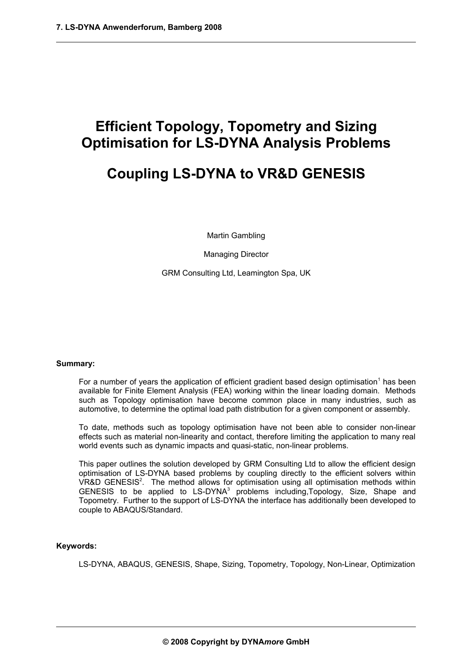# **Efficient Topology, Topometry and Sizing Optimisation for LS-DYNA Analysis Problems**

# **Coupling LS-DYNA to VR&D GENESIS**

Martin Gambling

Managing Director

GRM Consulting Ltd, Leamington Spa, UK

#### **Summary:**

For a number of years the application of efficient gradient based design optimisation<sup>1</sup> has been available for Finite Element Analysis (FEA) working within the linear loading domain. Methods such as Topology optimisation have become common place in many industries, such as automotive, to determine the optimal load path distribution for a given component or assembly.

To date, methods such as topology optimisation have not been able to consider non-linear effects such as material non-linearity and contact, therefore limiting the application to many real world events such as dynamic impacts and quasi-static, non-linear problems.

This paper outlines the solution developed by GRM Consulting Ltd to allow the efficient design optimisation of LS-DYNA based problems by coupling directly to the efficient solvers within VR&D GENESIS<sup>2</sup>. The method allows for optimisation using all optimisation methods within GENESIS to be applied to LS-DYNA<sup>3</sup> problems including, Topology, Size, Shape and Topometry. Further to the support of LS-DYNA the interface has additionally been developed to couple to ABAQUS/Standard.

### **Keywords:**

LS-DYNA, ABAQUS, GENESIS, Shape, Sizing, Topometry, Topology, Non-Linear, Optimization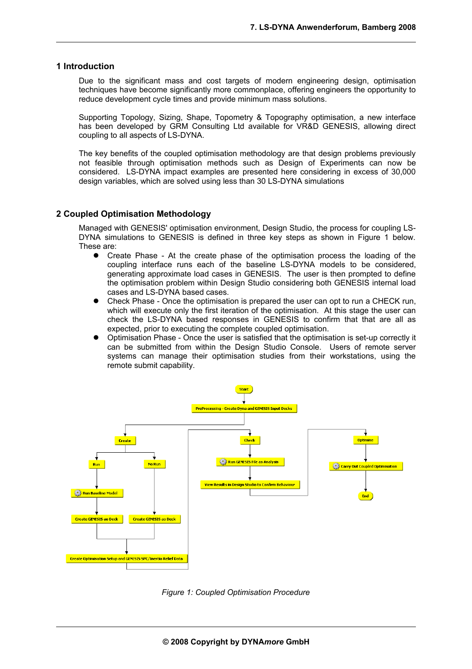#### **1 Introduction**

Due to the significant mass and cost targets of modern engineering design, optimisation techniques have become significantly more commonplace, offering engineers the opportunity to reduce development cycle times and provide minimum mass solutions.

Supporting Topology, Sizing, Shape, Topometry & Topography optimisation, a new interface has been developed by GRM Consulting Ltd available for VR&D GENESIS, allowing direct coupling to all aspects of LS-DYNA.

The key benefits of the coupled optimisation methodology are that design problems previously not feasible through optimisation methods such as Design of Experiments can now be considered. LS-DYNA impact examples are presented here considering in excess of 30,000 design variables, which are solved using less than 30 LS-DYNA simulations

## **2 Coupled Optimisation Methodology**

Managed with GENESIS' optimisation environment, Design Studio, the process for coupling LS-DYNA simulations to GENESIS is defined in three key steps as shown in Figure 1 below. These are:

- Create Phase At the create phase of the optimisation process the loading of the coupling interface runs each of the baseline LS-DYNA models to be considered, generating approximate load cases in GENESIS. The user is then prompted to define the optimisation problem within Design Studio considering both GENESIS internal load cases and LS-DYNA based cases.
- Check Phase Once the optimisation is prepared the user can opt to run a CHECK run, which will execute only the first iteration of the optimisation. At this stage the user can check the LS-DYNA based responses in GENESIS to confirm that that are all as expected, prior to executing the complete coupled optimisation.
- Optimisation Phase Once the user is satisfied that the optimisation is set-up correctly it can be submitted from within the Design Studio Console. Users of remote server systems can manage their optimisation studies from their workstations, using the remote submit capability.



*Figure 1: Coupled Optimisation Procedure*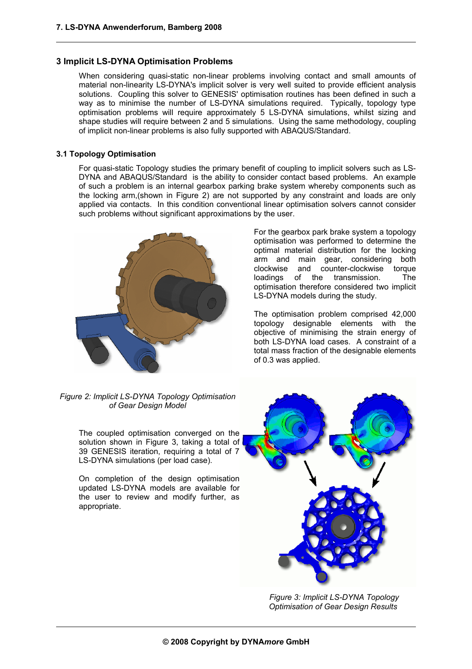## **3 Implicit LS-DYNA Optimisation Problems**

When considering quasi-static non-linear problems involving contact and small amounts of material non-linearity LS-DYNA's implicit solver is very well suited to provide efficient analysis solutions. Coupling this solver to GENESIS' optimisation routines has been defined in such a way as to minimise the number of LS-DYNA simulations required. Typically, topology type optimisation problems will require approximately 5 LS-DYNA simulations, whilst sizing and shape studies will require between 2 and 5 simulations. Using the same methodology, coupling of implicit non-linear problems is also fully supported with ABAQUS/Standard.

## **3.1 Topology Optimisation**

For quasi-static Topology studies the primary benefit of coupling to implicit solvers such as LS-DYNA and ABAQUS/Standard is the ability to consider contact based problems. An example of such a problem is an internal gearbox parking brake system whereby components such as the locking arm,(shown in Figure 2) are not supported by any constraint and loads are only applied via contacts. In this condition conventional linear optimisation solvers cannot consider such problems without significant approximations by the user.



For the gearbox park brake system a topology optimisation was performed to determine the optimal material distribution for the locking arm and main gear, considering both clockwise and counter-clockwise torque loadings of the transmission. The optimisation therefore considered two implicit LS-DYNA models during the study.

The optimisation problem comprised 42,000 topology designable elements with the objective of minimising the strain energy of both LS-DYNA load cases. A constraint of a total mass fraction of the designable elements of 0.3 was applied.

*Figure 2: Implicit LS-DYNA Topology Optimisation of Gear Design Model*

The coupled optimisation converged on the solution shown in Figure 3, taking a total of 39 GENESIS iteration, requiring a total of 7 LS-DYNA simulations (per load case).

On completion of the design optimisation updated LS-DYNA models are available for the user to review and modify further, as appropriate.



*Figure 3: Implicit LS-DYNA Topology Optimisation of Gear Design Results*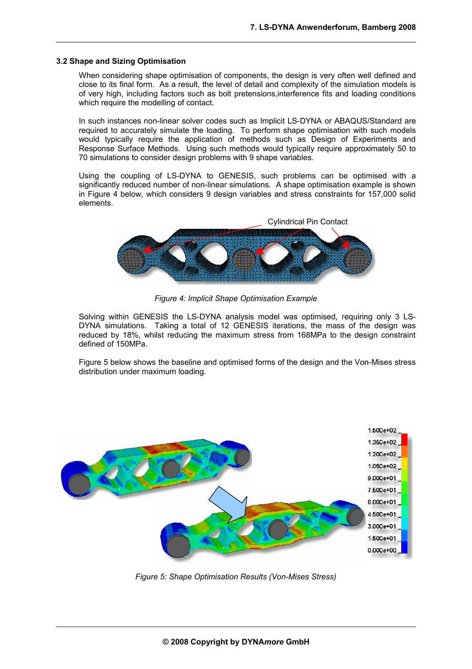#### **3.2 Shape and Sizing Optimisation**

When considering shape optimisation of components, the design is very often well defined and close to its final form. As a result, the level of detail and complexity of the simulation models is of very high, including factors such as bolt pretensions,interference fits and loading conditions which require the modelling of contact.

In such instances non-linear solver codes such as Implicit LS-DYNA or ABAQUS/Standard are required to accurately simulate the loading. To perform shape optimisation with such models would typically require the application of methods such as Design of Experiments and Response Surface Methods. Using such methods would typically require approximately 50 to 70 simulations to consider design problems with 9 shape variables.

Using the coupling of LS-DYNA to GENESIS, such problems can be optimised with a significantly reduced number of non-linear simulations. A shape optimisation example is shown in Figure 4 below, which considers 9 design variables and stress constraints for 157,000 solid elements.



*Figure 4: Implicit Shape Optimisation Example*

Solving within GENESIS the LS-DYNA analysis model was optimised, requiring only 3 LS-DYNA simulations. Taking a total of 12 GENESIS iterations, the mass of the design was reduced by 18%, whilst reducing the maximum stress from 168MPa to the design constraint defined of 150MPa.

Figure 5 below shows the baseline and optimised forms of the design and the Von-Mises stress distribution under maximum loading.



*Figure 5: Shape Optimisation Results (Von-Mises Stress)*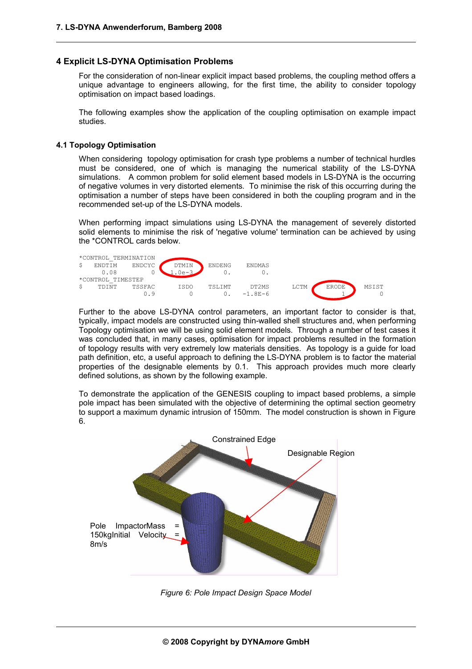### **4 Explicit LS-DYNA Optimisation Problems**

For the consideration of non-linear explicit impact based problems, the coupling method offers a unique advantage to engineers allowing, for the first time, the ability to consider topology optimisation on impact based loadings.

The following examples show the application of the coupling optimisation on example impact studies.

#### **4.1 Topology Optimisation**

When considering topology optimisation for crash type problems a number of technical hurdles must be considered, one of which is managing the numerical stability of the LS-DYNA simulations. A common problem for solid element based models in LS-DYNA is the occurring of negative volumes in very distorted elements. To minimise the risk of this occurring during the optimisation a number of steps have been considered in both the coupling program and in the recommended set-up of the LS-DYNA models.

When performing impact simulations using LS-DYNA the management of severely distorted solid elements to minimise the risk of 'negative volume' termination can be achieved by using the \*CONTROL cards below.



Further to the above LS-DYNA control parameters, an important factor to consider is that, typically, impact models are constructed using thin-walled shell structures and, when performing Topology optimisation we will be using solid element models. Through a number of test cases it was concluded that, in many cases, optimisation for impact problems resulted in the formation of topology results with very extremely low materials densities. As topology is a guide for load path definition, etc, a useful approach to defining the LS-DYNA problem is to factor the material properties of the designable elements by 0.1. This approach provides much more clearly defined solutions, as shown by the following example.

To demonstrate the application of the GENESIS coupling to impact based problems, a simple pole impact has been simulated with the objective of determining the optimal section geometry to support a maximum dynamic intrusion of 150mm. The model construction is shown in Figure 6.



*Figure 6: Pole Impact Design Space Model*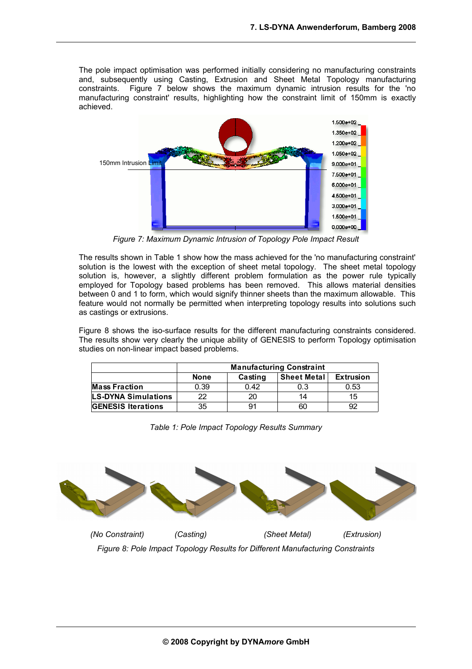The pole impact optimisation was performed initially considering no manufacturing constraints and, subsequently using Casting, Extrusion and Sheet Metal Topology manufacturing constraints. Figure 7 below shows the maximum dynamic intrusion results for the 'no manufacturing constraint' results, highlighting how the constraint limit of 150mm is exactly achieved.



*Figure 7: Maximum Dynamic Intrusion of Topology Pole Impact Result*

The results shown in Table 1 show how the mass achieved for the 'no manufacturing constraint' solution is the lowest with the exception of sheet metal topology. The sheet metal topology solution is, however, a slightly different problem formulation as the power rule typically employed for Topology based problems has been removed. This allows material densities between 0 and 1 to form, which would signify thinner sheets than the maximum allowable. This feature would not normally be permitted when interpreting topology results into solutions such as castings or extrusions.

Figure 8 shows the iso-surface results for the different manufacturing constraints considered. The results show very clearly the unique ability of GENESIS to perform Topology optimisation studies on non-linear impact based problems.

|                           | <b>Manufacturing Constraint</b> |         |                    |                  |
|---------------------------|---------------------------------|---------|--------------------|------------------|
|                           | <b>None</b>                     | Casting | <b>Sheet Metal</b> | <b>Extrusion</b> |
| <b>Mass Fraction</b>      | 0.39                            | 0.42    | 0.3                | 0.53             |
| LS-DYNA Simulations       | つつ                              | 20      | 14                 | 15               |
| <b>GENESIS Iterations</b> | 35                              | 91      | 60                 | 92               |

*Table 1: Pole Impact Topology Results Summary*



*Figure 8: Pole Impact Topology Results for Different Manufacturing Constraints*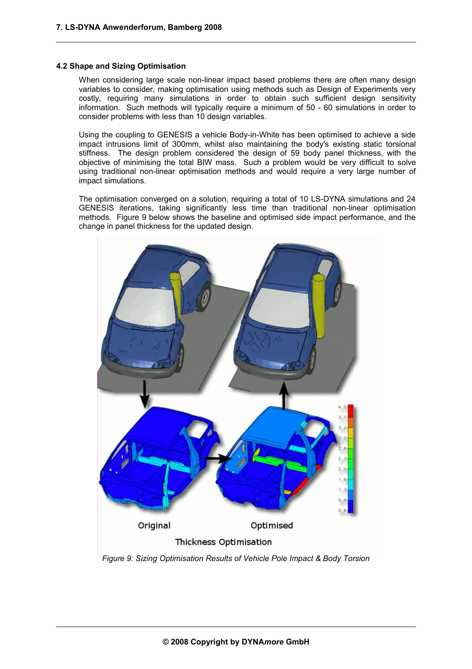#### **4.2 Shape and Sizing Optimisation**

When considering large scale non-linear impact based problems there are often many design variables to consider, making optimisation using methods such as Design of Experiments very costly, requiring many simulations in order to obtain such sufficient design sensitivity information. Such methods will typically require a minimum of 50 - 60 simulations in order to consider problems with less than 10 design variables.

Using the coupling to GENESIS a vehicle Body-in-White has been optimised to achieve a side impact intrusions limit of 300mm, whilst also maintaining the body's existing static torsional stiffness. The design problem considered the design of 59 body panel thickness, with the objective of minimising the total BIW mass. Such a problem would be very difficult to solve using traditional non-linear optimisation methods and would require a very large number of impact simulations.

The optimisation converged on a solution, requiring a total of 10 LS-DYNA simulations and 24 GENESIS iterations, taking significantly less time than traditional non-linear optimisation methods. Figure 9 below shows the baseline and optimised side impact performance, and the change in panel thickness for the updated design.



*Figure 9: Sizing Optimisation Results of Vehicle Pole Impact & Body Torsion*